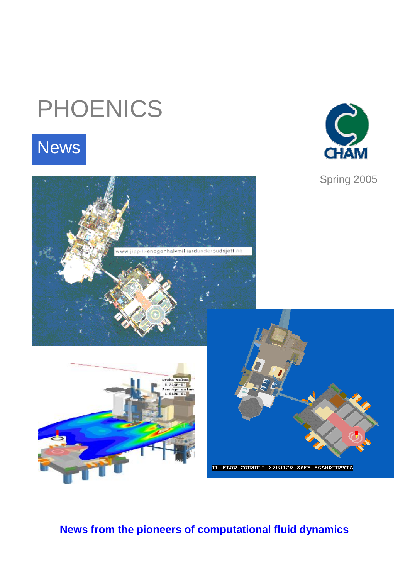# PHOENICS

# **News**



Spring 2005





# **News from the pioneers of computational fluid dynamics**

www.jippii-enogenhalvmilliardunderbudsjett.no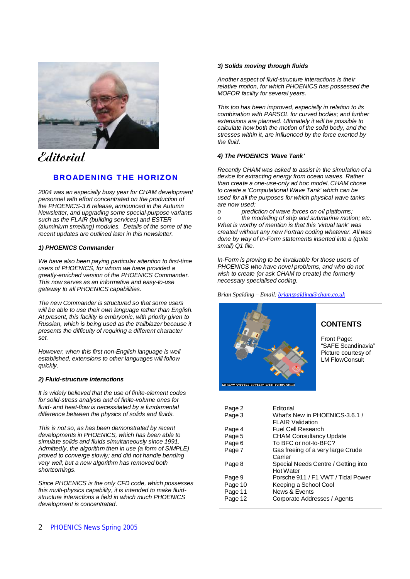

# **Editorial**

# **BROADENING THE HORIZON**

*2004 was an especially busy year for CHAM development personnel with effort concentrated on the production of the PHOENICS-3.6 release, announced in the Autumn Newsletter, and upgrading some special-purpose variants such as the FLAIR (building services) and ESTER (aluminium smelting) modules. Details of the some of the recent updates are outlined later in this newsletter.* 

#### *1) PHOENICS Commander*

*We have also been paying particular attention to first-time users of PHOENICS, for whom we have provided a greatly-enriched version of the PHOENICS Commander. This now serves as an informative and easy-to-use gateway to all PHOENICS capabilities.* 

*The new Commander is structured so that some users will be able to use their own language rather than English. At present, this facility is embryonic, with priority given to Russian, which is being used as the trailblazer because it presents the difficulty of requiring a different character set.* 

*However, when this first non-English language is well established, extensions to other languages will follow quickly.* 

#### *2) Fluid-structure interactions*

*It is widely believed that the use of finite-element codes for solid-stress analysis and of finite-volume ones for fluid- and heat-flow is necessitated by a fundamental difference between the physics of solids and fluids.* 

*This is not so, as has been demonstrated by recent developments in PHOENICS, which has been able to simulate solids and fluids simultaneously since 1991. Admittedly, the algorithm then in use (a form of SIMPLE) proved to converge slowly; and did not handle bending very well; but a new algorithm has removed both shortcomings.* 

*Since PHOENICS is the only CFD code, which possesses this multi-physics capability, it is intended to make fluidstructure interactions a field in which much PHOENICS development is concentrated.* 

#### 2 PHOENICS News Spring 2005

#### *3) Solids moving through fluids*

*Another aspect of fluid-structure interactions is their relative motion, for which PHOENICS has possessed the MOFOR facility for several years.* 

*This too has been improved, especially in relation to its combination with PARSOL for curved bodies; and further extensions are planned. Ultimately it will be possible to calculate how both the motion of the solid body, and the stresses within it, are influenced by the force exerted by the fluid.* 

#### *4) The PHOENICS 'Wave Tank'*

*Recently CHAM was asked to assist in the simulation of a device for extracting energy from ocean waves. Rather than create a one-use-only ad hoc model, CHAM chose to create a 'Computational Wave Tank' which can be used for all the purposes for which physical wave tanks are now used:* 

*o prediction of wave forces on oil platforms; o the modelling of ship and submarine motion; etc. What is worthy of mention is that this 'virtual tank' was created without any new Fortran coding whatever. All was done by way of In-Form statements inserted into a (quite small) Q1 file.* 

*In-Form is proving to be invaluable for those users of PHOENICS who have novel problems, and who do not wish to create (or ask CHAM to create) the formerly necessary specialised coding.* 

*Brian Spalding – Email: [brianspalding@cham.co.uk](mailto:brianspalding@cham.co.uk)*

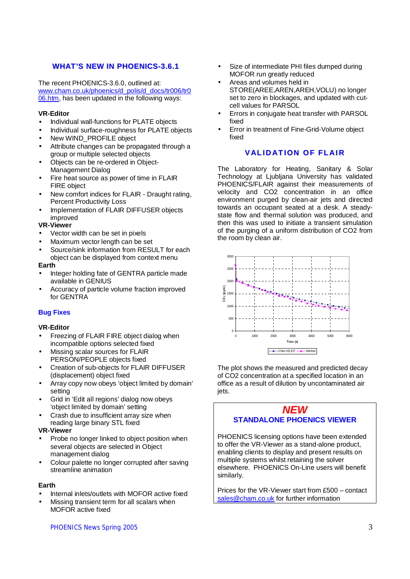# **WHAT'S NEW IN PHOENICS-3.6.1**

The recent PHOENICS-3.6.0, outlined at: [www.cham.co.uk/phoenics/d\\_polis/d\\_docs/tr006/tr0](http://www.cham.co.uk/phoenics/d_polis/d_docs/tr006/tr0) 06.htm, has been updated in the following ways:

# **VR-Editor**

- Individual wall-functions for PLATE objects
- Individual surface-roughness for PLATE objects
- New WIND\_PROFILE object
- Attribute changes can be propagated through a group or multiple selected objects
- Objects can be re-ordered in Object-Management Dialog
- Fire heat source as power of time in FLAIR FIRE object
- New comfort indices for FLAIR Draught rating, Percent Productivity Loss
- Implementation of FLAIR DIFFUSER objects improved

# **VR-Viewer**

- Vector width can be set in pixels
- Maximum vector length can be set
- Source/sink information from RESULT for each object can be displayed from context menu

#### **Earth**

- Integer holding fate of GENTRA particle made available in GENIUS
- Accuracy of particle volume fraction improved for GENTRA

# **Bug Fixes**

# **VR-Editor**

- Freezing of FLAIR FIRE object dialog when incompatible options selected fixed
- Missing scalar sources for FLAIR PERSON/PEOPLE objects fixed
- Creation of sub-objects for FLAIR DIFFUSER (displacement) object fixed
- Array copy now obeys 'object limited by domain' setting
- Grid in 'Edit all regions' dialog now obeys 'object limited by domain' setting
- Crash due to insufficient array size when reading large binary STL fixed

# **VR-Viewer**

- Probe no longer linked to object position when several objects are selected in Object management dialog
- Colour palette no longer corrupted after saving streamline animation

# **Earth**

- Internal inlets/outlets with MOFOR active fixed
- Missing transient term for all scalars when MOFOR active fixed

#### PHOENICS News Spring 2005 3

- Size of intermediate PHI files dumped during MOFOR run greatly reduced
- Areas and volumes held in STORE(AREE,AREN,AREH,VOLU) no longer set to zero in blockages, and updated with cutcell values for PARSOL
- Errors in conjugate heat transfer with PARSOL fixed
- Error in treatment of Fine-Grid-Volume object fixed

# **VALID AT ION OF FL AIR**

The Laboratory for Heating, Sanitary & Solar Technology at Ljubljana University has validated PHOENICS/FLAIR against their measurements of velocity and CO2 concentration in an office environment purged by clean-air jets and directed towards an occupant seated at a desk. A steadystate flow and thermal solution was produced, and then this was used to initiate a transient simulation of the purging of a uniform distribution of CO2 from the room by clean air.



The plot shows the measured and predicted decay of CO2 concentration at a specified location in an office as a result of dilution by uncontaminated air iets.

# *NEW* **STANDALONE PHOENICS VIEWER**

PHOENICS licensing options have been extended to offer the VR-Viewer as a stand-alone product, enabling clients to display and present results on multiple systems whilst retaining the solver elsewhere. PHOENICS On-Line users will benefit similarly.

Prices for the VR-Viewer start from £500 – contact [sales@cham.co.uk](mailto:sales@cham.co.uk) for further information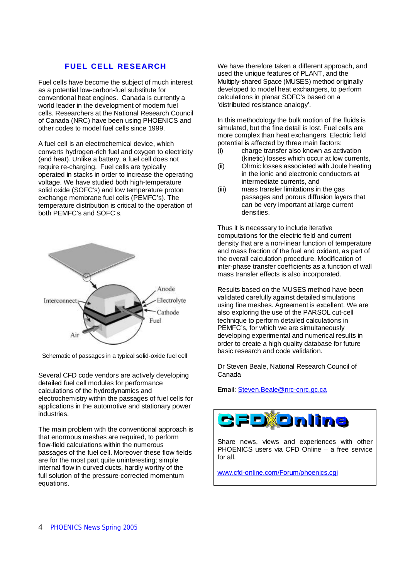# **FUEL CELL RESEARCH**

Fuel cells have become the subject of much interest as a potential low-carbon-fuel substitute for conventional heat engines. Canada is currently a world leader in the development of modern fuel cells. Researchers at the National Research Council of Canada (NRC) have been using PHOENICS and other codes to model fuel cells since 1999.

A fuel cell is an electrochemical device, which converts hydrogen-rich fuel and oxygen to electricity (and heat). Unlike a battery, a fuel cell does not require re-charging. Fuel cells are typically operated in stacks in order to increase the operating voltage. We have studied both high-temperature solid oxide (SOFC's) and low temperature proton exchange membrane fuel cells (PEMFC's). The temperature distribution is critical to the operation of both PEMFC's and SOFC's.



Schematic of passages in a typical solid-oxide fuel cell

Several CFD code vendors are actively developing detailed fuel cell modules for performance calculations of the hydrodynamics and electrochemistry within the passages of fuel cells for applications in the automotive and stationary power industries.

The main problem with the conventional approach is that enormous meshes are required, to perform flow-field calculations within the numerous passages of the fuel cell. Moreover these flow fields are for the most part quite uninteresting; simple internal flow in curved ducts, hardly worthy of the full solution of the pressure-corrected momentum equations.

We have therefore taken a different approach, and used the unique features of PLANT, and the Multiply-shared Space (MUSES) method originally developed to model heat exchangers, to perform calculations in planar SOFC's based on a 'distributed resistance analogy'.

In this methodology the bulk motion of the fluids is simulated, but the fine detail is lost. Fuel cells are more complex than heat exchangers. Electric field potential is affected by three main factors:

- (i) charge transfer also known as activation (kinetic) losses which occur at low currents,
- (ii) Ohmic losses associated with Joule heating in the ionic and electronic conductors at intermediate currents, and
- (iii) mass transfer limitations in the gas passages and porous diffusion layers that can be very important at large current densities.

Thus it is necessary to include iterative computations for the electric field and current density that are a non-linear function of temperature and mass fraction of the fuel and oxidant, as part of the overall calculation procedure. Modification of inter-phase transfer coefficients as a function of wall mass transfer effects is also incorporated.

Results based on the MUSES method have been validated carefully against detailed simulations using fine meshes. Agreement is excellent. We are also exploring the use of the PARSOL cut-cell technique to perform detailed calculations in PEMFC's, for which we are simultaneously developing experimental and numerical results in order to create a high quality database for future basic research and code validation.

Dr Steven Beale, National Research Council of Canada

Email: [Steven.Beale@nrc-cnrc.gc.ca](mailto:Steven.Beale@nrc-cnrc.gc.ca)



Share news, views and experiences with other PHOENICS users via CFD Online – a free service for all.

[www.cfd-online.com/Forum/phoenics.cgi](http://www.cfd-online.com/Forum/phoenics.cgi)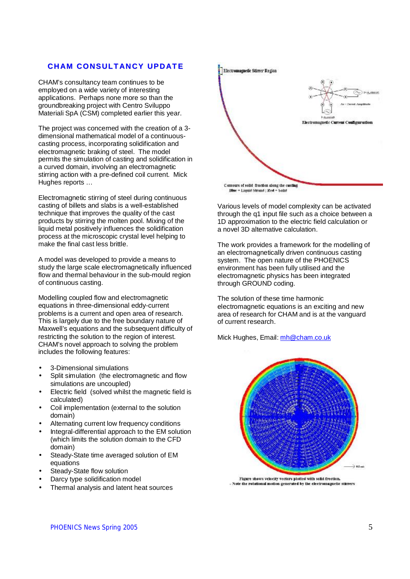# **CH AM CONSULT AN CY UPD AT E**

CHAM's consultancy team continues to be employed on a wide variety of interesting applications. Perhaps none more so than the groundbreaking project with Centro Sviluppo Materiali SpA (CSM) completed earlier this year.

The project was concerned with the creation of a 3 dimensional mathematical model of a continuouscasting process, incorporating solidification and electromagnetic braking of steel. The model permits the simulation of casting and solidification in a curved domain, involving an electromagnetic stirring action with a pre-defined coil current. Mick Hughes reports …

Electromagnetic stirring of steel during continuous casting of billets and slabs is a well-established technique that improves the quality of the cast products by stirring the molten pool. Mixing of the liquid metal positively influences the solidification process at the microscopic crystal level helping to make the final cast less brittle.

A model was developed to provide a means to study the large scale electromagnetically influenced flow and thermal behaviour in the sub-mould region of continuous casting.

Modelling coupled flow and electromagnetic equations in three-dimensional eddy-current problems is a current and open area of research. This is largely due to the free boundary nature of Maxwell's equations and the subsequent difficulty of restricting the solution to the region of interest. CHAM's novel approach to solving the problem includes the following features:

- 3-Dimensional simulations
- Split simulation (the electromagnetic and flow simulations are uncoupled)
- Electric field (solved whilst the magnetic field is calculated)
- Coil implementation (external to the solution domain)
- Alternating current low frequency conditions
- Integral-differential approach to the EM solution (which limits the solution domain to the CFD domain)
- Steady-State time averaged solution of EM equations
- Steady-State flow solution
- Darcy type solidification model
- Thermal analysis and latent heat sources





Various levels of model complexity can be activated through the q1 input file such as a choice between a 1D approximation to the electric field calculation or a novel 3D alternative calculation.

The work provides a framework for the modelling of an electromagnetically driven continuous casting system. The open nature of the PHOENICS environment has been fully utilised and the electromagnetic physics has been integrated through GROUND coding.

The solution of these time harmonic electromagnetic equations is an exciting and new area of research for CHAM and is at the vanguard of current research.

Mick Hughes, Email: [mh@cham.co.uk](mailto:mh@cham.co.uk)



Figure shows velocity vectors plotted with solid frection. - Note the rotational motion generated by the electromagnetic stirrers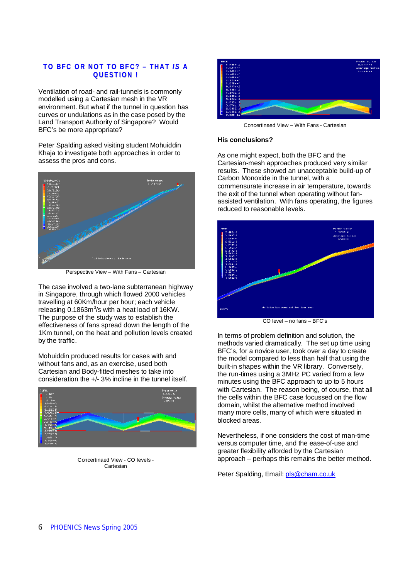# **TO BFC OR NOT TO BFC? – THAT** *IS* **A QUES T ION !**

Ventilation of road- and rail-tunnels is commonly modelled using a Cartesian mesh in the VR environment. But what if the tunnel in question has curves or undulations as in the case posed by the Land Transport Authority of Singapore? Would BFC's be more appropriate?

Peter Spalding asked visiting student Mohuiddin Khaja to investigate both approaches in order to assess the pros and cons.



Perspective View – With Fans – Cartesian

The case involved a two-lane subterranean highway in Singapore, through which flowed 2000 vehicles travelling at 60Km/hour per hour; each vehicle releasing  $0.1863m<sup>3</sup>/s$  with a heat load of 16KW. The purpose of the study was to establish the effectiveness of fans spread down the length of the 1Km tunnel, on the heat and pollution levels created by the traffic.

Mohuiddin produced results for cases with and without fans and, as an exercise, used both Cartesian and Body-fitted meshes to take into consideration the  $+/- 3\%$  incline in the tunnel itself.



Concertinaed View - CO levels - **Cartesian** 



Concertinaed View – With Fans - Cartesian

#### **His conclusions?**

As one might expect, both the BFC and the Cartesian-mesh approaches produced very similar results. These showed an unacceptable build-up of Carbon Monoxide in the tunnel, with a commensurate increase in air temperature, towards the exit of the tunnel when operating without fanassisted ventilation. With fans operating, the figures reduced to reasonable levels.



CO level – no fans – BFC's

In terms of problem definition and solution, the methods varied dramatically. The set up time using BFC's, for a novice user, took over a day to create the model compared to less than half that using the built-in shapes within the VR library. Conversely, the run-times using a 3MHz PC varied from a few minutes using the BFC approach to up to 5 hours with Cartesian. The reason being, of course, that all the cells within the BFC case focussed on the flow domain, whilst the alternative method involved many more cells, many of which were situated in blocked areas.

Nevertheless, if one considers the cost of man-time versus computer time, and the ease-of-use and greater flexibility afforded by the Cartesian approach – perhaps this remains the better method.

Peter Spalding, Email: [pls@cham.co.uk](mailto:pls@cham.co.uk)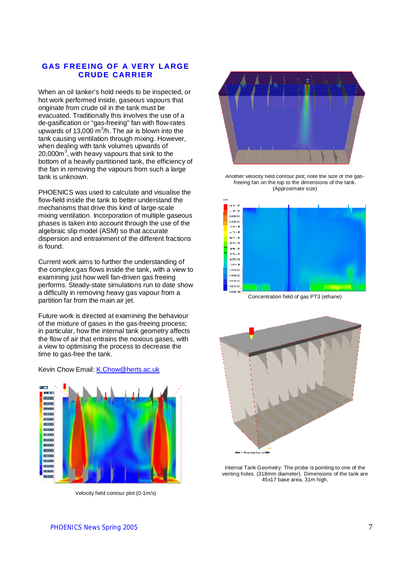# **GAS F REEING OF A VERY L ARGE CRUDE C AR R IER**

When an oil tanker's hold needs to be inspected, or hot work performed inside, gaseous vapours that originate from crude oil in the tank must be evacuated. Traditionally this involves the use of a de-gasification or "gas-freeing" fan with flow-rates upwards of 13,000  $\text{m}^3$ /h. The air is blown into the tank causing ventilation through mixing. However, when dealing with tank volumes upwards of 20,000 $\text{m}^3$ , with heavy vapours that sink to the bottom of a heavily partitioned tank, the efficiency of the fan in removing the vapours from such a large tank is unknown.

PHOENICS was used to calculate and visualise the flow-field inside the tank to better understand the mechanisms that drive this kind of large-scale mixing ventilation. Incorporation of multiple gaseous phases is taken into account through the use of the algebraic slip model (ASM) so that accurate dispersion and entrainment of the different fractions is found.

Current work aims to further the understanding of the complex gas flows inside the tank, with a view to examining just how well fan-driven gas freeing performs. Steady-state simulations run to date show a difficulty in removing heavy gas vapour from a partition far from the main air jet.

Future work is directed at examining the behaviour of the mixture of gases in the gas-freeing process; in particular, how the internal tank geometry affects the flow of air that entrains the noxious gases, with a view to optimising the process to decrease the time to gas-free the tank.

Kevin Chow Email: [K.Chow@herts.ac.uk](mailto:K.Chow@herts.ac.uk)



Velocity field contour plot (0-1m/s)



Another velocity field contour plot; note the size of the gasfreeing fan on the top to the dimensions of the tank. (Approximate size)



Concentration field of gas PT3 (ethane)



Internal Tank Geometry. The probe is pointing to one of the venting holes. (318mm diameter). Dimensions of the tank are 45x17 base area, 31m high.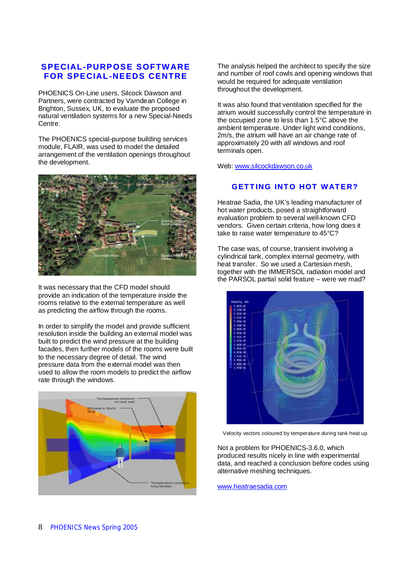# **SPECIAL-PURPOSE SOFTWARE FOR SPECIAL-NEEDS CENTRE**

PHOENICS On-Line users, Silcock Dawson and Partners, were contracted by Varndean College in Brighton, Sussex, UK, to evaluate the proposed natural ventilation systems for a new Special-Needs Centre.

The PHOENICS special-purpose building services module, FLAIR, was used to model the detailed arrangement of the ventilation openings throughout the development.



It was necessary that the CFD model should provide an indication of the temperature inside the rooms relative to the external temperature as well as predicting the airflow through the rooms.

In order to simplify the model and provide sufficient resolution inside the building an external model was built to predict the wind pressure at the building facades, then further models of the rooms were built to the necessary degree of detail. The wind pressure data from the external model was then used to allow the room models to predict the airflow rate through the windows.



The analysis helped the architect to specify the size and number of roof cowls and opening windows that would be required for adequate ventilation throughout the development.

It was also found that ventilation specified for the atrium would successfully control the temperature in the occupied zone to less than 1.5°C above the ambient temperature. Under light wind conditions, 2m/s, the atrium will have an air change rate of approximately 20 with all windows and roof terminals open.

Web: [www.silcockdawson.co.uk](http://www.silcockdawson.co.uk)

# **GETT ING INT O HOT WAT ER?**

Heatrae Sadia, the UK's leading manufacturer of hot water products, posed a straightforward evaluation problem to several well-known CFD vendors. Given certain criteria, how long does it take to raise water temperature to 45°C?

The case was, of course, transient involving a cylindrical tank, complex internal geometry, with heat transfer. So we used a Cartesian mesh, together with the IMMERSOL radiation model and the PARSOL partial solid feature – were we mad?



Velocity vectors coloured by temperature during tank heat up

Not a problem for PHOENICS-3.6.0, which produced results nicely in line with experimental data, and reached a conclusion before codes using alternative meshing techniques.

[www.heatraesadia.com](http://www.heatraesadia.com)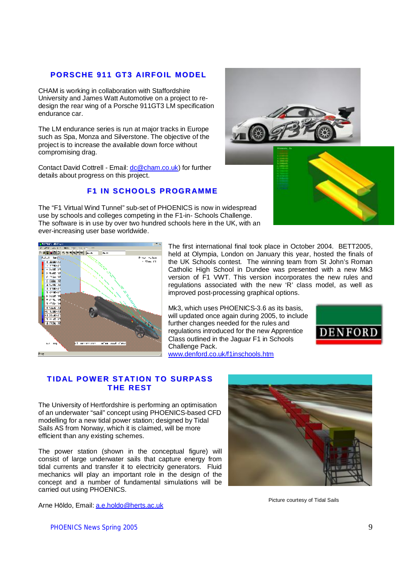# **PORSCHE 911 GT3 AIRFOIL MODEL**

CHAM is working in collaboration with Staffordshire University and James Watt Automotive on a project to redesign the rear wing of a Porsche 911GT3 LM specification endurance car.

The LM endurance series is run at major tracks in Europe such as Spa, Monza and Silverstone. The objective of the project is to increase the available down force without compromising drag.

Contact David Cottrell - Email: [dc@cham.co.uk\)](mailto:dc@cham.co.uk) for further details about progress on this project.

# **F1 IN SC HOOLS PROGR AMME**

The "F1 Virtual Wind Tunnel" sub-set of PHOENICS is now in widespread use by schools and colleges competing in the F1-in- Schools Challenge. The software is in use by over two hundred schools here in the UK, with an ever-increasing user base worldwide.





The first international final took place in October 2004. BETT2005, held at Olympia, London on January this year, hosted the finals of the UK Schools contest. The winning team from St John's Roman Catholic High School in Dundee was presented with a new Mk3 version of F1 VWT. This version incorporates the new rules and regulations associated with the new 'R' class model, as well as improved post-processing graphical options.

Mk3, which uses PHOENICS-3.6 as its basis, will updated once again during 2005, to include further changes needed for the rules and regulations introduced for the new Apprentice Class outlined in the Jaguar F1 in Schools Challenge Pack. [www.denford.co.uk/f1inschools.htm](http://www.denford.co.uk/f1inschools.htm)



# **TIDAL POWER STATION TO SURPASS T HE REST**

The University of Hertfordshire is performing an optimisation of an underwater "sail" concept using PHOENICS-based CFD modelling for a new tidal power station; designed by Tidal Sails AS from Norway, which it is claimed, will be more efficient than any existing schemes.

The power station (shown in the conceptual figure) will consist of large underwater sails that capture energy from tidal currents and transfer it to electricity generators. Fluid mechanics will play an important role in the design of the concept and a number of fundamental simulations will be carried out using PHOENICS.

Arne Hōldo, Email: [a.e.holdo@herts.ac.uk](mailto:a.e.holdo@herts.ac.uk)



Picture courtesy of Tidal Sails

PHOENICS News Spring 2005 **9**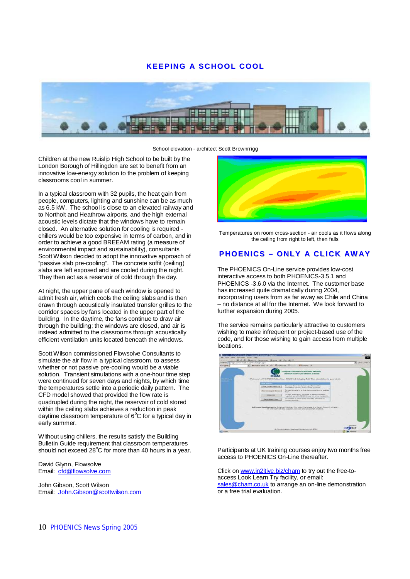# **KEEPING A SCHOOL COOL**



School elevation - architect Scott Brownrrigg

Children at the new Ruislip High School to be built by the London Borough of Hillingdon are set to benefit from an innovative low-energy solution to the problem of keeping classrooms cool in summer.

In a typical classroom with 32 pupils, the heat gain from people, computers, lighting and sunshine can be as much as 6.5 kW. The school is close to an elevated railway and to Northolt and Heathrow airports, and the high external acoustic levels dictate that the windows have to remain closed. An alternative solution for cooling is required chillers would be too expensive in terms of carbon, and in order to achieve a good BREEAM rating (a measure of environmental impact and sustainability), consultants Scott Wilson decided to adopt the innovative approach of "passive slab pre-cooling". The concrete soffit (ceiling) slabs are left exposed and are cooled during the night. They then act as a reservoir of cold through the day.

At night, the upper pane of each window is opened to admit fresh air, which cools the ceiling slabs and is then drawn through acoustically insulated transfer grilles to the corridor spaces by fans located in the upper part of the building. In the daytime, the fans continue to draw air through the building; the windows are closed, and air is instead admitted to the classrooms through acoustically efficient ventilation units located beneath the windows.

Scott Wilson commissioned Flowsolve Consultants to simulate the air flow in a typical classroom, to assess whether or not passive pre-cooling would be a viable solution. Transient simulations with a one-hour time step were continued for seven days and nights, by which time the temperatures settle into a periodic daily pattern. The CFD model showed that provided the flow rate is quadrupled during the night, the reservoir of cold stored within the ceiling slabs achieves a reduction in peak daytime classroom temperature of  $6^{\circ}C$  for a typical day in early summer.

Without using chillers, the results satisfy the Building Bulletin Guide requirement that classroom temperatures should not exceed  $28^{\circ}$ C for more than 40 hours in a year.

David Glynn, Flowsolve Email: [cfd@flowsolve.com](mailto:cfd@flowsolve.com)

John Gibson, Scott Wilson Email: [John.Gibson@scottwilson.com](mailto:John.Gibson@scottwilson.com)



Temperatures on room cross-section - air cools as it flows along the ceiling from right to left, then falls

# **PHOENICS – ONLY A CLICK AW AY**

The PHOENICS On-Line service provides low-cost interactive access to both PHOENICS-3.5.1 and PHOENICS -3.6.0 via the Internet. The customer base has increased quite dramatically during 2004, incorporating users from as far away as Chile and China – no distance at all for the Internet. We look forward to further expansion during 2005.

The service remains particularly attractive to customers wishing to make infrequent or project-based use of the code, and for those wishing to gain access from multiple locations.

| Congress <sup>1</sup> |                                         | w] thissed too: - @ @ packet @ 1911 Balgary #                                                                                                                                     |                  |
|-----------------------|-----------------------------------------|-----------------------------------------------------------------------------------------------------------------------------------------------------------------------------------|------------------|
|                       | <b>CHAM</b>                             | ungales Throubiton of Rold Box, Just Box.<br>chemical reaction and otheress deductor<br>Welcome In 1930/FAIDS Delive frees CHWR114, Inferior Build Fiers stendation he year deal- |                  |
|                       | --                                      | and the property of the control of the control of the control of the control of the control of the control of                                                                     |                  |
|                       | Load, Lawy and Tex.                     | To look their size-Automy purflymous by<br><b>Instruments and his many some sources!</b>                                                                                          |                  |
|                       | Ven-ammuni Sweet                        | To call trigges in a lost demonstration or quicked                                                                                                                                |                  |
|                       | <b>TANGERS</b>                          | To adj specialists, provide a demonstrations.<br>requirer on a Decident's lowl or siller recurrent.                                                                               |                  |
|                       | <b><i><u>Presso terms Lines</u></i></b> | To construit since work with the 14/23/272-<br>continue services.                                                                                                                 |                  |
|                       |                                         | Bulli nease Respubbalmantly. Intuined Stadyor 5 or later, Helmised K or Selair. Opera 5 of later.<br>at 42 k 120 for \$31 trapped, crosses and presenter analysis.                | comment of the c |

Participants at UK training courses enjoy two months free access to PHOENICS On-Line thereafter.

Click on [www.in2itive.biz/cham](http://www.in2itive.biz/cham) to try out the free-toaccess Look Learn Try facility, or email: [sales@cham.co.uk](mailto:sales@cham.co.uk) to arrange an on-line demonstration or a free trial evaluation.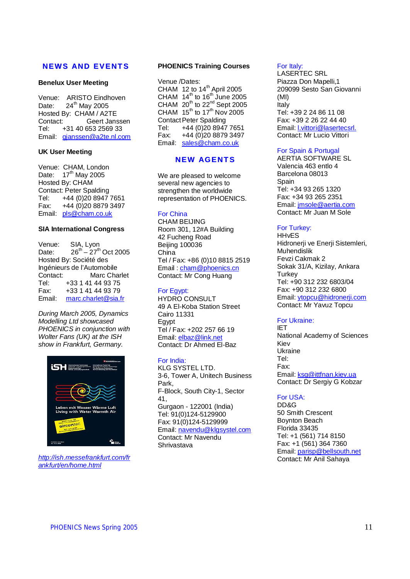# **NEWS AND EVENT S**

#### **Benelux User Meeting**

Venue: ARISTO Eindhoven Date:  $24<sup>th</sup>$  May 2005 Hosted By: CHAM / A2TE Contact: Geert Janssen Tel: +31 40 653 2569 33 Email: [gjanssen@a2te.nl.com](mailto:gjanssen@a2te.nl.com)

#### **UK User Meeting**

Venue: CHAM, London Date:  $17^{th}$  May 2005 Hosted By: CHAM Contact: Peter Spalding Tel: +44 (0)20 8947 7651 Fax: +44 (0)20 8879 3497 Email: [pls@cham.co.uk](mailto:pls@cham.co.uk)

#### **SIA International Congress**

Venue: SIA, Lyon Date:  $26^{th} - 27^{th}$  Oct 2005 Hosted By: Société des Ingénieurs de l'Automobile Contact: Marc Charlet Tel: +33 1 41 44 93 75 Fax: +33 1 41 44 93 79 Email: [marc.charlet@sia.fr](mailto:marc.charlet@sia.fr)

*During March 2005, Dynamics Modelling Ltd showcased PHOENICS in conjunction with Wolter Fans (UK) at the ISH show in Frankfurt, Germany.* 



*<http://ish.messefrankfurt.com/fr> ankfurt/en/home.html*

#### **PHOENICS Training Courses**

Venue /Dates: CHAM  $12$  to  $14<sup>th</sup>$  April 2005 CHAM  $14^{\text{th}}$  to  $16^{\text{th}}$  June 2005 CHAM  $20^{th}$  to  $22^{nd}$  Sept 2005 CHAM  $15^{th}$  to  $17^{th}$  Nov 2005 **Contact Peter Spalding** Tel: +44 (0)20 8947 7651 Fax: +44 (0)20 8879 3497 Email: [sales@cham.co.uk](mailto:sales@cham.co.uk)

# **NEW AGENT S**

We are pleased to welcome several new agencies to strengthen the worldwide representation of PHOENICS.

#### For China

CHAM BEIJING Room 301, 12#A Building 42 Fucheng Road Beijing 100036 China Tel / Fax: +86 (0)10 8815 2519 Email : [cham@phoenics.cn](mailto:cham@phoenics.cn) Contact: Mr Cong Huang

#### For Egypt:

HYDRO CONSULT 49 A El-Koba Station Street Cairo 11331 Egypt Tel / Fax: +202 257 66 19 Email: [elbaz@link.net](mailto:elbaz@link.net) Contact: Dr Ahmed El-Baz

#### For India:

KLG SYSTEL LTD. 3-6, Tower A, Unitech Business Park, F-Block, South City-1, Sector 41, Gurgaon - 122001 (India) Tel: 91(0)124-5129900 Fax: 91(0)124-5129999 Email: [navendu@klgsystel.com](mailto:navendu@klgsystel.com) Contact: Mr Navendu Shrivastava

#### For Italy:

LASERTEC SRL Piazza Don Mapelli,1 209099 Sesto San Giovanni (MI) Italy Tel: +39 2 24 86 11 08 Fax: +39 2 26 22 44 40 Email: l.vittori@lasertecsrl. Contact: Mr Lucio Vittori

#### For Spain & Portugal

AERTIA SOFTWARE SL Valencia 463 entlo 4 Barcelona 08013 **Spain** Tel: +34 93 265 1320 Fax: +34 93 265 2351 Email: [jmsole@aertia.com](mailto:jmsole@aertia.com) Contact: Mr Juan M Sole

#### For Turkey:

**HH<sub>VES</sub>** Hidronerji ve Enerji Sistemleri, Muhendislik Fevzi Cakmak 2 Sokak 31/A, Kizilay, Ankara **Turkev** Tel: +90 312 232 6803/04 Fax: +90 312 232 6800 Email: [ytopcu@hidronerji.com](mailto:ytopcu@hidronerji.com) Contact: Mr Yavuz Topcu

#### For Ukraine:

IET National Academy of Sciences Kiev Ukraine Tel: Fax: Email: [ksg@ittfnan.kiev.ua](mailto:ksg@ittfnan.kiev.ua) Contact: Dr Sergiy G Kobzar

# For USA:

DD&G 50 Smith Crescent Boynton Beach Florida 33435 Tel: +1 (561) 714 8150 Fax: +1 (561) 364 7360 Email: [parisp@bellsouth.net](mailto:parisp@bellsouth.net) Contact: Mr Anil Sahaya